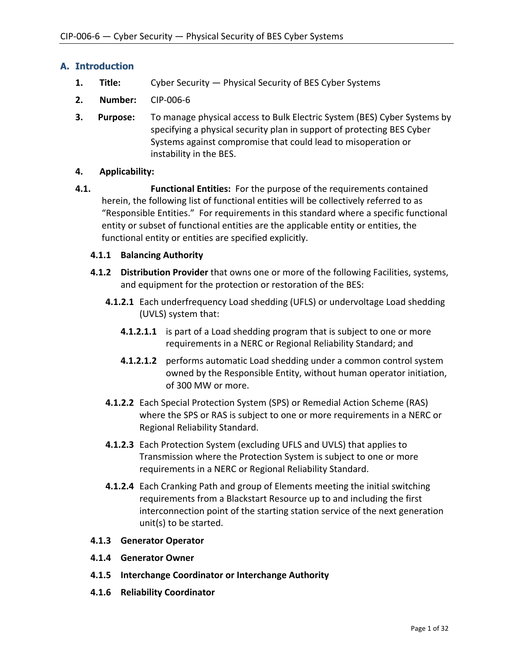# **A. Introduction**

- **1. Title:** Cyber Security Physical Security of BES Cyber Systems
- **2. Number:** CIP-006-6
- **3. Purpose:** To manage physical access to Bulk Electric System (BES) Cyber Systems by specifying a physical security plan in support of protecting BES Cyber Systems against compromise that could lead to misoperation or instability in the BES.

## **4. Applicability:**

**4.1. Functional Entities:** For the purpose of the requirements contained herein, the following list of functional entities will be collectively referred to as "Responsible Entities." For requirements in this standard where a specific functional entity or subset of functional entities are the applicable entity or entities, the functional entity or entities are specified explicitly.

## **4.1.1 Balancing Authority**

- **4.1.2 Distribution Provider** that owns one or more of the following Facilities, systems, and equipment for the protection or restoration of the BES:
	- **4.1.2.1** Each underfrequency Load shedding (UFLS) or undervoltage Load shedding (UVLS) system that:
		- **4.1.2.1.1** is part of a Load shedding program that is subject to one or more requirements in a NERC or Regional Reliability Standard; and
		- **4.1.2.1.2** performs automatic Load shedding under a common control system owned by the Responsible Entity, without human operator initiation, of 300 MW or more.
	- **4.1.2.2** Each Special Protection System (SPS) or Remedial Action Scheme (RAS) where the SPS or RAS is subject to one or more requirements in a NERC or Regional Reliability Standard.
	- **4.1.2.3** Each Protection System (excluding UFLS and UVLS) that applies to Transmission where the Protection System is subject to one or more requirements in a NERC or Regional Reliability Standard.
	- **4.1.2.4** Each Cranking Path and group of Elements meeting the initial switching requirements from a Blackstart Resource up to and including the first interconnection point of the starting station service of the next generation unit(s) to be started.

### **4.1.3 Generator Operator**

- **4.1.4 Generator Owner**
- **4.1.5 Interchange Coordinator or Interchange Authority**
- **4.1.6 Reliability Coordinator**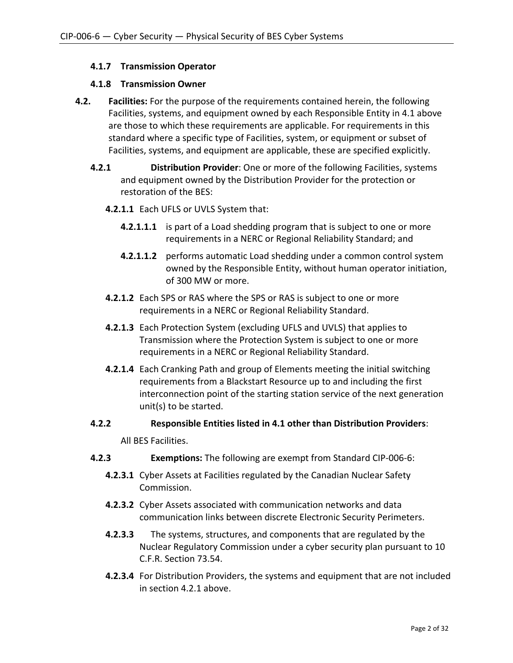# **4.1.7 Transmission Operator**

### **4.1.8 Transmission Owner**

- **4.2. Facilities:** For the purpose of the requirements contained herein, the following Facilities, systems, and equipment owned by each Responsible Entity in 4.1 above are those to which these requirements are applicable. For requirements in this standard where a specific type of Facilities, system, or equipment or subset of Facilities, systems, and equipment are applicable, these are specified explicitly.
	- **4.2.1 Distribution Provider**: One or more of the following Facilities, systems and equipment owned by the Distribution Provider for the protection or restoration of the BES:
		- **4.2.1.1** Each UFLS or UVLS System that:
			- **4.2.1.1.1** is part of a Load shedding program that is subject to one or more requirements in a NERC or Regional Reliability Standard; and
			- **4.2.1.1.2** performs automatic Load shedding under a common control system owned by the Responsible Entity, without human operator initiation, of 300 MW or more.
		- **4.2.1.2** Each SPS or RAS where the SPS or RAS is subject to one or more requirements in a NERC or Regional Reliability Standard.
		- **4.2.1.3** Each Protection System (excluding UFLS and UVLS) that applies to Transmission where the Protection System is subject to one or more requirements in a NERC or Regional Reliability Standard.
		- **4.2.1.4** Each Cranking Path and group of Elements meeting the initial switching requirements from a Blackstart Resource up to and including the first interconnection point of the starting station service of the next generation unit(s) to be started.

# **4.2.2 Responsible Entities listed in 4.1 other than Distribution Providers**:

All BES Facilities.

- **4.2.3 Exemptions:** The following are exempt from Standard CIP-006-6:
	- **4.2.3.1** Cyber Assets at Facilities regulated by the Canadian Nuclear Safety Commission.
	- **4.2.3.2** Cyber Assets associated with communication networks and data communication links between discrete Electronic Security Perimeters.
	- **4.2.3.3** The systems, structures, and components that are regulated by the Nuclear Regulatory Commission under a cyber security plan pursuant to 10 C.F.R. Section 73.54.
	- **4.2.3.4** For Distribution Providers, the systems and equipment that are not included in section 4.2.1 above.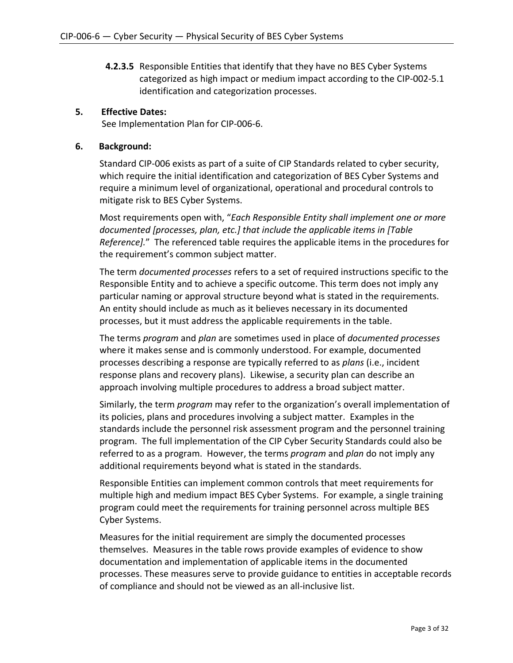**4.2.3.5** Responsible Entities that identify that they have no BES Cyber Systems categorized as high impact or medium impact according to the CIP-002-5.1 identification and categorization processes.

## **5. Effective Dates:**

See Implementation Plan for CIP-006-6.

## **6. Background:**

Standard CIP-006 exists as part of a suite of CIP Standards related to cyber security, which require the initial identification and categorization of BES Cyber Systems and require a minimum level of organizational, operational and procedural controls to mitigate risk to BES Cyber Systems.

Most requirements open with, "*Each Responsible Entity shall implement one or more documented [processes, plan, etc.] that include the applicable items in [Table Reference].*" The referenced table requires the applicable items in the procedures for the requirement's common subject matter.

The term *documented processes* refers to a set of required instructions specific to the Responsible Entity and to achieve a specific outcome. This term does not imply any particular naming or approval structure beyond what is stated in the requirements. An entity should include as much as it believes necessary in its documented processes, but it must address the applicable requirements in the table.

The terms *program* and *plan* are sometimes used in place of *documented processes* where it makes sense and is commonly understood. For example, documented processes describing a response are typically referred to as *plans* (i.e., incident response plans and recovery plans). Likewise, a security plan can describe an approach involving multiple procedures to address a broad subject matter.

Similarly, the term *program* may refer to the organization's overall implementation of its policies, plans and procedures involving a subject matter. Examples in the standards include the personnel risk assessment program and the personnel training program. The full implementation of the CIP Cyber Security Standards could also be referred to as a program. However, the terms *program* and *plan* do not imply any additional requirements beyond what is stated in the standards.

Responsible Entities can implement common controls that meet requirements for multiple high and medium impact BES Cyber Systems. For example, a single training program could meet the requirements for training personnel across multiple BES Cyber Systems.

Measures for the initial requirement are simply the documented processes themselves. Measures in the table rows provide examples of evidence to show documentation and implementation of applicable items in the documented processes. These measures serve to provide guidance to entities in acceptable records of compliance and should not be viewed as an all-inclusive list.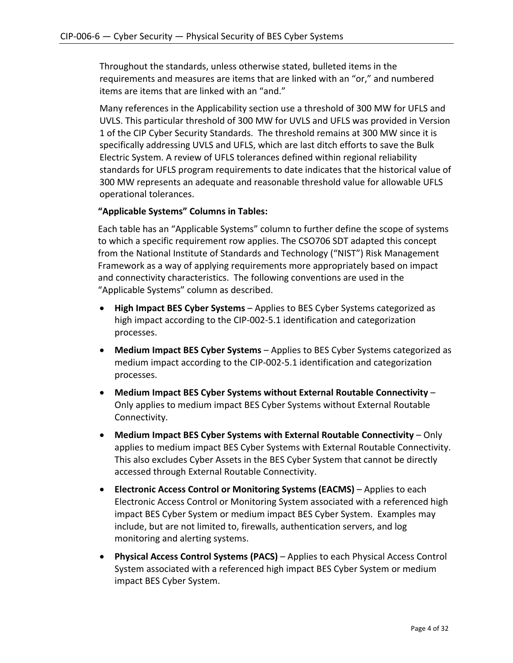Throughout the standards, unless otherwise stated, bulleted items in the requirements and measures are items that are linked with an "or," and numbered items are items that are linked with an "and."

Many references in the Applicability section use a threshold of 300 MW for UFLS and UVLS. This particular threshold of 300 MW for UVLS and UFLS was provided in Version 1 of the CIP Cyber Security Standards. The threshold remains at 300 MW since it is specifically addressing UVLS and UFLS, which are last ditch efforts to save the Bulk Electric System. A review of UFLS tolerances defined within regional reliability standards for UFLS program requirements to date indicates that the historical value of 300 MW represents an adequate and reasonable threshold value for allowable UFLS operational tolerances.

# **"Applicable Systems" Columns in Tables:**

Each table has an "Applicable Systems" column to further define the scope of systems to which a specific requirement row applies. The CSO706 SDT adapted this concept from the National Institute of Standards and Technology ("NIST") Risk Management Framework as a way of applying requirements more appropriately based on impact and connectivity characteristics. The following conventions are used in the "Applicable Systems" column as described.

- **High Impact BES Cyber Systems**  Applies to BES Cyber Systems categorized as high impact according to the CIP-002-5.1 identification and categorization processes.
- **Medium Impact BES Cyber Systems**  Applies to BES Cyber Systems categorized as medium impact according to the CIP-002-5.1 identification and categorization processes.
- **Medium Impact BES Cyber Systems without External Routable Connectivity**  Only applies to medium impact BES Cyber Systems without External Routable Connectivity.
- **Medium Impact BES Cyber Systems with External Routable Connectivity**  Only applies to medium impact BES Cyber Systems with External Routable Connectivity. This also excludes Cyber Assets in the BES Cyber System that cannot be directly accessed through External Routable Connectivity.
- **Electronic Access Control or Monitoring Systems (EACMS)** Applies to each Electronic Access Control or Monitoring System associated with a referenced high impact BES Cyber System or medium impact BES Cyber System. Examples may include, but are not limited to, firewalls, authentication servers, and log monitoring and alerting systems.
- **Physical Access Control Systems (PACS)** Applies to each Physical Access Control System associated with a referenced high impact BES Cyber System or medium impact BES Cyber System.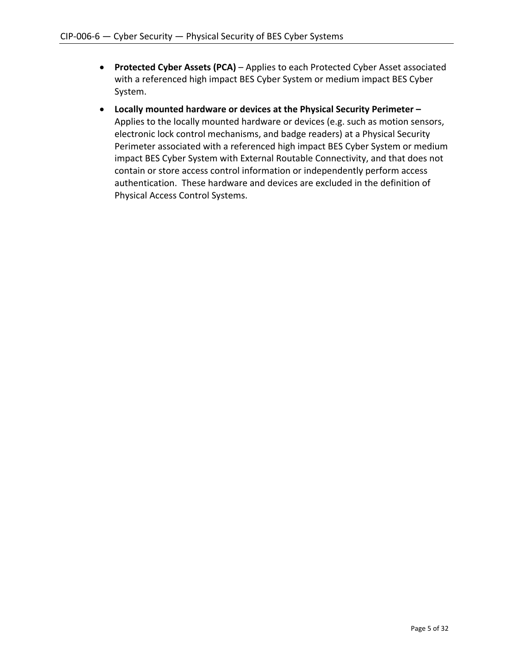- **Protected Cyber Assets (PCA)** Applies to each Protected Cyber Asset associated with a referenced high impact BES Cyber System or medium impact BES Cyber System.
- **Locally mounted hardware or devices at the Physical Security Perimeter –** Applies to the locally mounted hardware or devices (e.g. such as motion sensors, electronic lock control mechanisms, and badge readers) at a Physical Security Perimeter associated with a referenced high impact BES Cyber System or medium impact BES Cyber System with External Routable Connectivity, and that does not contain or store access control information or independently perform access authentication. These hardware and devices are excluded in the definition of Physical Access Control Systems.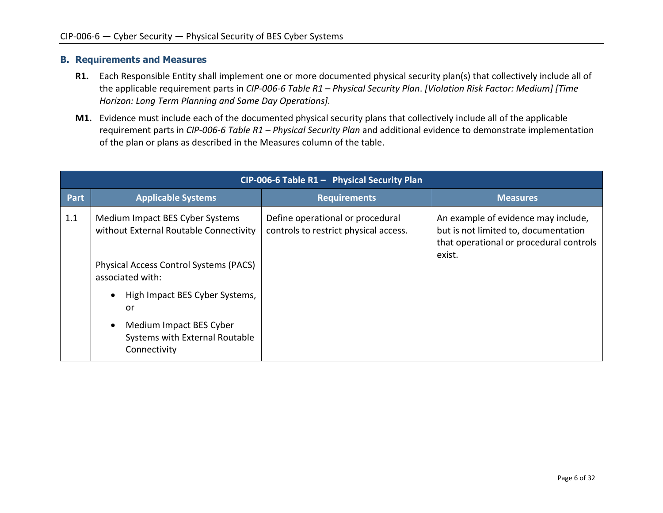#### **B. Requirements and Measures**

- **R1.** Each Responsible Entity shall implement one or more documented physical security plan(s) that collectively include all of the applicable requirement parts in *CIP-006-6 Table R1 – Physical Security Plan*. *[Violation Risk Factor: Medium] [Time Horizon: Long Term Planning and Same Day Operations].*
- **M1.** Evidence must include each of the documented physical security plans that collectively include all of the applicable requirement parts in *CIP-006-6 Table R1 – Physical Security Plan* and additional evidence to demonstrate implementation of the plan or plans as described in the Measures column of the table.

|             | CIP-006-6 Table $R1 -$ Physical Security Plan                                                                                               |                                                                           |                                                                                                                                  |  |  |
|-------------|---------------------------------------------------------------------------------------------------------------------------------------------|---------------------------------------------------------------------------|----------------------------------------------------------------------------------------------------------------------------------|--|--|
| <b>Part</b> | <b>Applicable Systems</b>                                                                                                                   | <b>Requirements</b>                                                       | <b>Measures</b>                                                                                                                  |  |  |
| 1.1         | Medium Impact BES Cyber Systems<br>without External Routable Connectivity<br>Physical Access Control Systems (PACS)<br>associated with:     | Define operational or procedural<br>controls to restrict physical access. | An example of evidence may include,<br>but is not limited to, documentation<br>that operational or procedural controls<br>exist. |  |  |
|             | High Impact BES Cyber Systems,<br>$\bullet$<br>or<br>Medium Impact BES Cyber<br>$\bullet$<br>Systems with External Routable<br>Connectivity |                                                                           |                                                                                                                                  |  |  |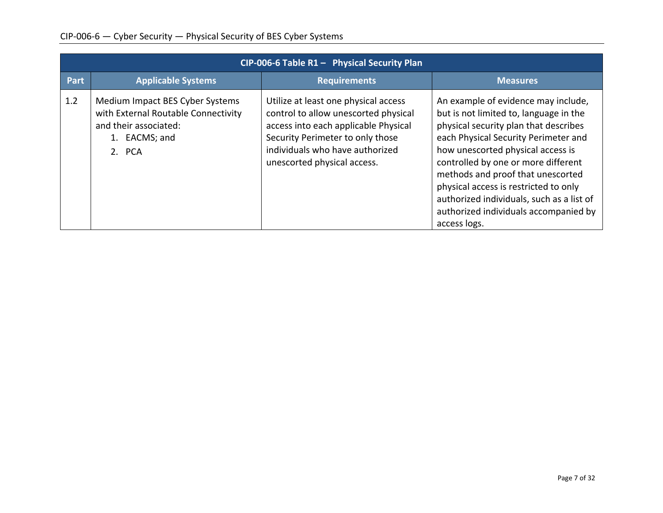| CIP-006-6 Table R1 - Physical Security Plan |                                                                                                                            |                                                                                                                                                                                                                            |                                                                                                                                                                                                                                                                                                                                                                                                                                |
|---------------------------------------------|----------------------------------------------------------------------------------------------------------------------------|----------------------------------------------------------------------------------------------------------------------------------------------------------------------------------------------------------------------------|--------------------------------------------------------------------------------------------------------------------------------------------------------------------------------------------------------------------------------------------------------------------------------------------------------------------------------------------------------------------------------------------------------------------------------|
| Part                                        | <b>Applicable Systems</b>                                                                                                  | <b>Requirements</b>                                                                                                                                                                                                        | <b>Measures</b>                                                                                                                                                                                                                                                                                                                                                                                                                |
| 1.2                                         | Medium Impact BES Cyber Systems<br>with External Routable Connectivity<br>and their associated:<br>1. EACMS; and<br>2. PCA | Utilize at least one physical access<br>control to allow unescorted physical<br>access into each applicable Physical<br>Security Perimeter to only those<br>individuals who have authorized<br>unescorted physical access. | An example of evidence may include,<br>but is not limited to, language in the<br>physical security plan that describes<br>each Physical Security Perimeter and<br>how unescorted physical access is<br>controlled by one or more different<br>methods and proof that unescorted<br>physical access is restricted to only<br>authorized individuals, such as a list of<br>authorized individuals accompanied by<br>access logs. |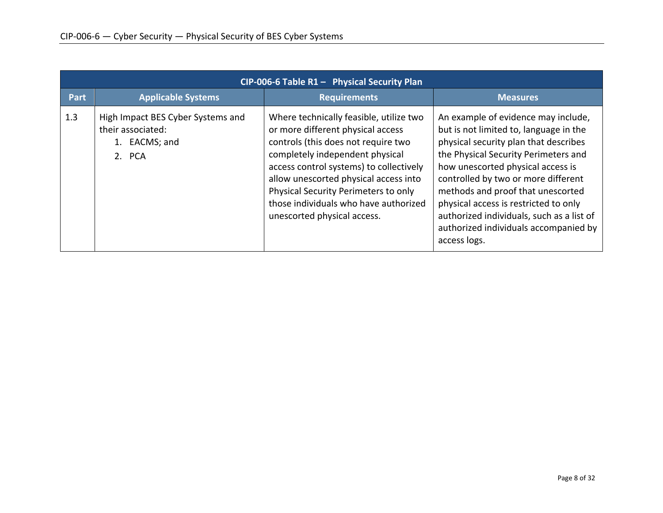|      | $CIP-006-6$ Table R1 - Physical Security Plan                                     |                                                                                                                                                                                                                                                                                                                                                            |                                                                                                                                                                                                                                                                                                                                                                                                                                |  |
|------|-----------------------------------------------------------------------------------|------------------------------------------------------------------------------------------------------------------------------------------------------------------------------------------------------------------------------------------------------------------------------------------------------------------------------------------------------------|--------------------------------------------------------------------------------------------------------------------------------------------------------------------------------------------------------------------------------------------------------------------------------------------------------------------------------------------------------------------------------------------------------------------------------|--|
| Part | <b>Applicable Systems</b>                                                         | <b>Requirements</b>                                                                                                                                                                                                                                                                                                                                        | <b>Measures</b>                                                                                                                                                                                                                                                                                                                                                                                                                |  |
| 1.3  | High Impact BES Cyber Systems and<br>their associated:<br>1. EACMS; and<br>2. PCA | Where technically feasible, utilize two<br>or more different physical access<br>controls (this does not require two<br>completely independent physical<br>access control systems) to collectively<br>allow unescorted physical access into<br>Physical Security Perimeters to only<br>those individuals who have authorized<br>unescorted physical access. | An example of evidence may include,<br>but is not limited to, language in the<br>physical security plan that describes<br>the Physical Security Perimeters and<br>how unescorted physical access is<br>controlled by two or more different<br>methods and proof that unescorted<br>physical access is restricted to only<br>authorized individuals, such as a list of<br>authorized individuals accompanied by<br>access logs. |  |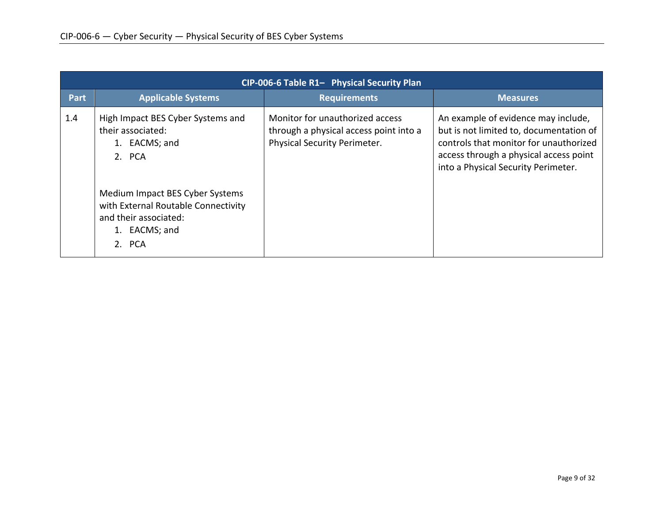| CIP-006-6 Table R1- Physical Security Plan |                                                                                                                                                                                                           |                                                                                                           |                                                                                                                                                                                                           |  |
|--------------------------------------------|-----------------------------------------------------------------------------------------------------------------------------------------------------------------------------------------------------------|-----------------------------------------------------------------------------------------------------------|-----------------------------------------------------------------------------------------------------------------------------------------------------------------------------------------------------------|--|
| Part                                       | <b>Applicable Systems</b>                                                                                                                                                                                 | <b>Requirements</b>                                                                                       | <b>Measures</b>                                                                                                                                                                                           |  |
| 1.4                                        | High Impact BES Cyber Systems and<br>their associated:<br>EACMS; and<br>2. PCA<br>Medium Impact BES Cyber Systems<br>with External Routable Connectivity<br>and their associated:<br>EACMS; and<br>2. PCA | Monitor for unauthorized access<br>through a physical access point into a<br>Physical Security Perimeter. | An example of evidence may include,<br>but is not limited to, documentation of<br>controls that monitor for unauthorized<br>access through a physical access point<br>into a Physical Security Perimeter. |  |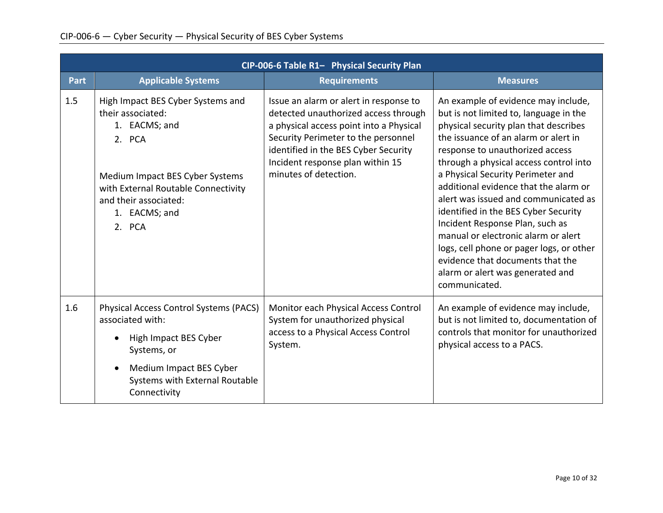|             | CIP-006-6 Table R1- Physical Security Plan                                                                                 |                                                                                                                                                                                                                                              |                                                                                                                                                                                                                                                                                                                                                                           |  |
|-------------|----------------------------------------------------------------------------------------------------------------------------|----------------------------------------------------------------------------------------------------------------------------------------------------------------------------------------------------------------------------------------------|---------------------------------------------------------------------------------------------------------------------------------------------------------------------------------------------------------------------------------------------------------------------------------------------------------------------------------------------------------------------------|--|
| <b>Part</b> | <b>Applicable Systems</b>                                                                                                  | <b>Requirements</b>                                                                                                                                                                                                                          | <b>Measures</b>                                                                                                                                                                                                                                                                                                                                                           |  |
| 1.5         | High Impact BES Cyber Systems and<br>their associated:<br>1. EACMS; and<br>2. PCA                                          | Issue an alarm or alert in response to<br>detected unauthorized access through<br>a physical access point into a Physical<br>Security Perimeter to the personnel<br>identified in the BES Cyber Security<br>Incident response plan within 15 | An example of evidence may include,<br>but is not limited to, language in the<br>physical security plan that describes<br>the issuance of an alarm or alert in<br>response to unauthorized access<br>through a physical access control into                                                                                                                               |  |
|             | Medium Impact BES Cyber Systems<br>with External Routable Connectivity<br>and their associated:<br>1. EACMS; and<br>2. PCA | minutes of detection.                                                                                                                                                                                                                        | a Physical Security Perimeter and<br>additional evidence that the alarm or<br>alert was issued and communicated as<br>identified in the BES Cyber Security<br>Incident Response Plan, such as<br>manual or electronic alarm or alert<br>logs, cell phone or pager logs, or other<br>evidence that documents that the<br>alarm or alert was generated and<br>communicated. |  |
| 1.6         | <b>Physical Access Control Systems (PACS)</b><br>associated with:                                                          | Monitor each Physical Access Control<br>System for unauthorized physical                                                                                                                                                                     | An example of evidence may include,<br>but is not limited to, documentation of<br>controls that monitor for unauthorized<br>physical access to a PACS.                                                                                                                                                                                                                    |  |
|             | High Impact BES Cyber<br>Systems, or                                                                                       | access to a Physical Access Control<br>System.                                                                                                                                                                                               |                                                                                                                                                                                                                                                                                                                                                                           |  |
|             | Medium Impact BES Cyber<br>$\bullet$<br>Systems with External Routable<br>Connectivity                                     |                                                                                                                                                                                                                                              |                                                                                                                                                                                                                                                                                                                                                                           |  |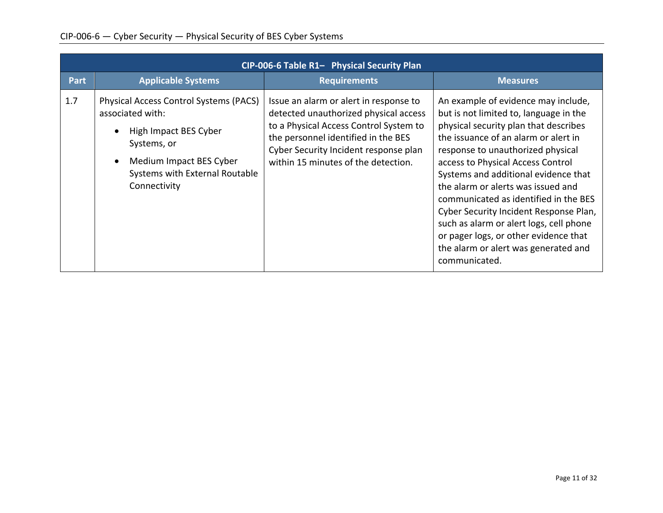|             | CIP-006-6 Table R1- Physical Security Plan                                                                                                                                      |                                                                                                                                                                                                                                                  |                                                                                                                                                                                                                                                                                                                                                                                                                                                                                                                                                        |  |
|-------------|---------------------------------------------------------------------------------------------------------------------------------------------------------------------------------|--------------------------------------------------------------------------------------------------------------------------------------------------------------------------------------------------------------------------------------------------|--------------------------------------------------------------------------------------------------------------------------------------------------------------------------------------------------------------------------------------------------------------------------------------------------------------------------------------------------------------------------------------------------------------------------------------------------------------------------------------------------------------------------------------------------------|--|
| <b>Part</b> | <b>Applicable Systems</b>                                                                                                                                                       | <b>Requirements</b>                                                                                                                                                                                                                              | <b>Measures</b>                                                                                                                                                                                                                                                                                                                                                                                                                                                                                                                                        |  |
| 1.7         | Physical Access Control Systems (PACS)<br>associated with:<br>High Impact BES Cyber<br>Systems, or<br>Medium Impact BES Cyber<br>Systems with External Routable<br>Connectivity | Issue an alarm or alert in response to<br>detected unauthorized physical access<br>to a Physical Access Control System to<br>the personnel identified in the BES<br>Cyber Security Incident response plan<br>within 15 minutes of the detection. | An example of evidence may include,<br>but is not limited to, language in the<br>physical security plan that describes<br>the issuance of an alarm or alert in<br>response to unauthorized physical<br>access to Physical Access Control<br>Systems and additional evidence that<br>the alarm or alerts was issued and<br>communicated as identified in the BES<br>Cyber Security Incident Response Plan,<br>such as alarm or alert logs, cell phone<br>or pager logs, or other evidence that<br>the alarm or alert was generated and<br>communicated. |  |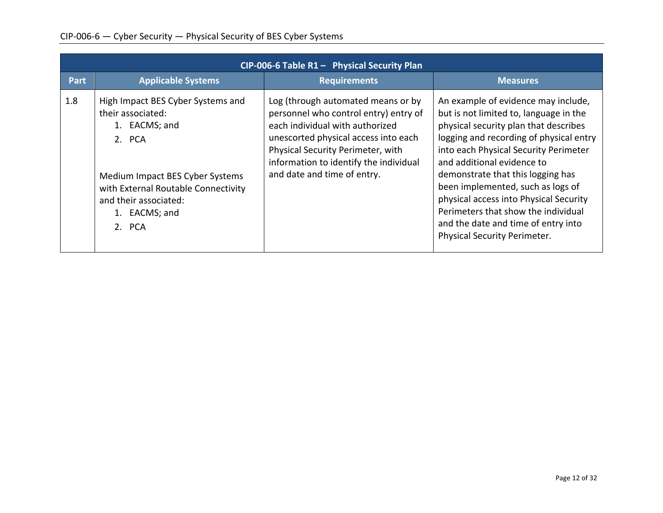| $CIP-006-6$ Table R1 - Physical Security Plan |                                                                                                                                                                                                                 |                                                                                                                                                                                                                                                                      |                                                                                                                                                                                                                                                                                                                                                                                                                                                                            |
|-----------------------------------------------|-----------------------------------------------------------------------------------------------------------------------------------------------------------------------------------------------------------------|----------------------------------------------------------------------------------------------------------------------------------------------------------------------------------------------------------------------------------------------------------------------|----------------------------------------------------------------------------------------------------------------------------------------------------------------------------------------------------------------------------------------------------------------------------------------------------------------------------------------------------------------------------------------------------------------------------------------------------------------------------|
| Part                                          | <b>Applicable Systems</b>                                                                                                                                                                                       | <b>Requirements</b>                                                                                                                                                                                                                                                  | <b>Measures</b>                                                                                                                                                                                                                                                                                                                                                                                                                                                            |
| 1.8                                           | High Impact BES Cyber Systems and<br>their associated:<br>1. EACMS; and<br>2. PCA<br>Medium Impact BES Cyber Systems<br>with External Routable Connectivity<br>and their associated:<br>1. EACMS; and<br>2. PCA | Log (through automated means or by<br>personnel who control entry) entry of<br>each individual with authorized<br>unescorted physical access into each<br>Physical Security Perimeter, with<br>information to identify the individual<br>and date and time of entry. | An example of evidence may include,<br>but is not limited to, language in the<br>physical security plan that describes<br>logging and recording of physical entry<br>into each Physical Security Perimeter<br>and additional evidence to<br>demonstrate that this logging has<br>been implemented, such as logs of<br>physical access into Physical Security<br>Perimeters that show the individual<br>and the date and time of entry into<br>Physical Security Perimeter. |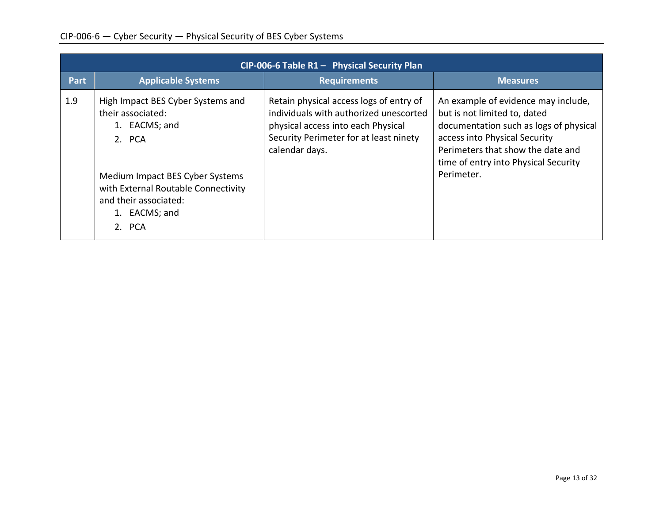|             | CIP-006-6 Table $R1 -$ Physical Security Plan                                                                                                                                                                   |                                                                                                                                                                                     |                                                                                                                                                                                                                                           |  |
|-------------|-----------------------------------------------------------------------------------------------------------------------------------------------------------------------------------------------------------------|-------------------------------------------------------------------------------------------------------------------------------------------------------------------------------------|-------------------------------------------------------------------------------------------------------------------------------------------------------------------------------------------------------------------------------------------|--|
| <b>Part</b> | <b>Applicable Systems</b>                                                                                                                                                                                       | <b>Requirements</b>                                                                                                                                                                 | <b>Measures</b>                                                                                                                                                                                                                           |  |
| 1.9         | High Impact BES Cyber Systems and<br>their associated:<br>1. EACMS; and<br>2. PCA<br>Medium Impact BES Cyber Systems<br>with External Routable Connectivity<br>and their associated:<br>1. EACMS; and<br>2. PCA | Retain physical access logs of entry of<br>individuals with authorized unescorted<br>physical access into each Physical<br>Security Perimeter for at least ninety<br>calendar days. | An example of evidence may include,<br>but is not limited to, dated<br>documentation such as logs of physical<br>access into Physical Security<br>Perimeters that show the date and<br>time of entry into Physical Security<br>Perimeter. |  |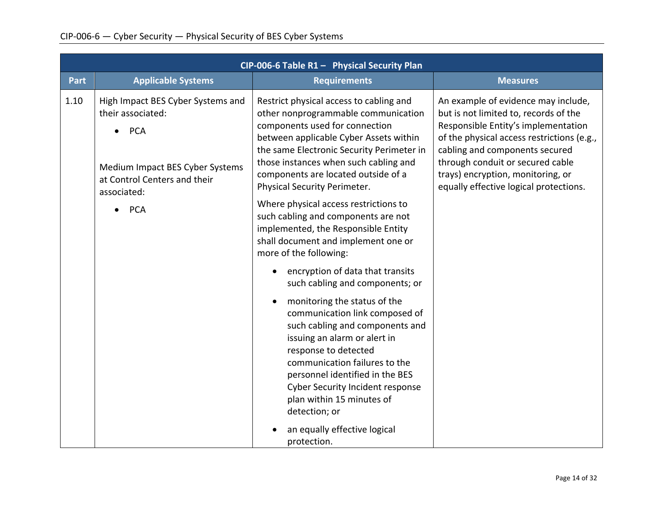|             | CIP-006-6 Table R1 - Physical Security Plan                                                                                                                                       |                                                                                                                                                                                                                                                                                                                                                                                                                                                                                                                                                                                                                                                                                                                                                                                                                                                                                                                                                               |                                                                                                                                                                                                                                                                                                                        |  |
|-------------|-----------------------------------------------------------------------------------------------------------------------------------------------------------------------------------|---------------------------------------------------------------------------------------------------------------------------------------------------------------------------------------------------------------------------------------------------------------------------------------------------------------------------------------------------------------------------------------------------------------------------------------------------------------------------------------------------------------------------------------------------------------------------------------------------------------------------------------------------------------------------------------------------------------------------------------------------------------------------------------------------------------------------------------------------------------------------------------------------------------------------------------------------------------|------------------------------------------------------------------------------------------------------------------------------------------------------------------------------------------------------------------------------------------------------------------------------------------------------------------------|--|
| <b>Part</b> | <b>Applicable Systems</b>                                                                                                                                                         | <b>Requirements</b>                                                                                                                                                                                                                                                                                                                                                                                                                                                                                                                                                                                                                                                                                                                                                                                                                                                                                                                                           | <b>Measures</b>                                                                                                                                                                                                                                                                                                        |  |
| 1.10        | High Impact BES Cyber Systems and<br>their associated:<br><b>PCA</b><br>$\bullet$<br>Medium Impact BES Cyber Systems<br>at Control Centers and their<br>associated:<br><b>PCA</b> | Restrict physical access to cabling and<br>other nonprogrammable communication<br>components used for connection<br>between applicable Cyber Assets within<br>the same Electronic Security Perimeter in<br>those instances when such cabling and<br>components are located outside of a<br>Physical Security Perimeter.<br>Where physical access restrictions to<br>such cabling and components are not<br>implemented, the Responsible Entity<br>shall document and implement one or<br>more of the following:<br>encryption of data that transits<br>such cabling and components; or<br>monitoring the status of the<br>$\bullet$<br>communication link composed of<br>such cabling and components and<br>issuing an alarm or alert in<br>response to detected<br>communication failures to the<br>personnel identified in the BES<br><b>Cyber Security Incident response</b><br>plan within 15 minutes of<br>detection; or<br>an equally effective logical | An example of evidence may include,<br>but is not limited to, records of the<br>Responsible Entity's implementation<br>of the physical access restrictions (e.g.,<br>cabling and components secured<br>through conduit or secured cable<br>trays) encryption, monitoring, or<br>equally effective logical protections. |  |
|             |                                                                                                                                                                                   | protection.                                                                                                                                                                                                                                                                                                                                                                                                                                                                                                                                                                                                                                                                                                                                                                                                                                                                                                                                                   |                                                                                                                                                                                                                                                                                                                        |  |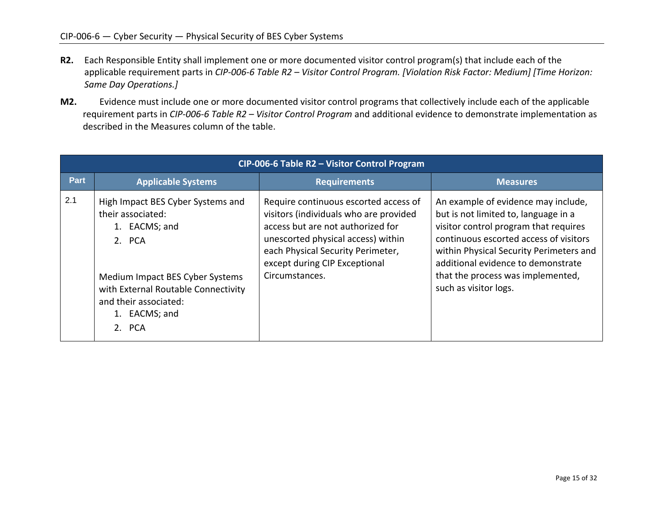- **R2.** Each Responsible Entity shall implement one or more documented visitor control program(s) that include each of the applicable requirement parts in *CIP-006-6 Table R2 – Visitor Control Program. [Violation Risk Factor: Medium] [Time Horizon: Same Day Operations.]*
- **M2.** Evidence must include one or more documented visitor control programs that collectively include each of the applicable requirement parts in *CIP-006-6 Table R2 – Visitor Control Program* and additional evidence to demonstrate implementation as described in the Measures column of the table.

|             | CIP-006-6 Table R2 - Visitor Control Program                                                                                                                                                                    |                                                                                                                                                                                                                                                    |                                                                                                                                                                                                                                                                                                               |  |
|-------------|-----------------------------------------------------------------------------------------------------------------------------------------------------------------------------------------------------------------|----------------------------------------------------------------------------------------------------------------------------------------------------------------------------------------------------------------------------------------------------|---------------------------------------------------------------------------------------------------------------------------------------------------------------------------------------------------------------------------------------------------------------------------------------------------------------|--|
| <b>Part</b> | <b>Applicable Systems</b>                                                                                                                                                                                       | <b>Requirements</b>                                                                                                                                                                                                                                | <b>Measures</b>                                                                                                                                                                                                                                                                                               |  |
| 2.1         | High Impact BES Cyber Systems and<br>their associated:<br>1. EACMS; and<br>2. PCA<br>Medium Impact BES Cyber Systems<br>with External Routable Connectivity<br>and their associated:<br>1. EACMS; and<br>2. PCA | Require continuous escorted access of<br>visitors (individuals who are provided<br>access but are not authorized for<br>unescorted physical access) within<br>each Physical Security Perimeter,<br>except during CIP Exceptional<br>Circumstances. | An example of evidence may include,<br>but is not limited to, language in a<br>visitor control program that requires<br>continuous escorted access of visitors<br>within Physical Security Perimeters and<br>additional evidence to demonstrate<br>that the process was implemented,<br>such as visitor logs. |  |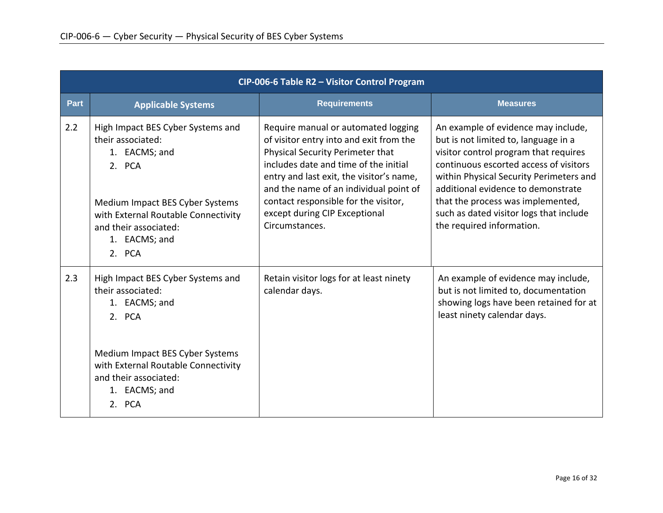|      | CIP-006-6 Table R2 - Visitor Control Program                                                                                                                                                                    |                                                                                                                                                                                                                                                                                                                                              |                                                                                                                                                                                                                                                                                                                                                              |  |
|------|-----------------------------------------------------------------------------------------------------------------------------------------------------------------------------------------------------------------|----------------------------------------------------------------------------------------------------------------------------------------------------------------------------------------------------------------------------------------------------------------------------------------------------------------------------------------------|--------------------------------------------------------------------------------------------------------------------------------------------------------------------------------------------------------------------------------------------------------------------------------------------------------------------------------------------------------------|--|
| Part | <b>Applicable Systems</b>                                                                                                                                                                                       | <b>Requirements</b>                                                                                                                                                                                                                                                                                                                          | <b>Measures</b>                                                                                                                                                                                                                                                                                                                                              |  |
| 2.2  | High Impact BES Cyber Systems and<br>their associated:<br>1. EACMS; and<br>2. PCA<br>Medium Impact BES Cyber Systems<br>with External Routable Connectivity<br>and their associated:<br>1. EACMS; and<br>2. PCA | Require manual or automated logging<br>of visitor entry into and exit from the<br>Physical Security Perimeter that<br>includes date and time of the initial<br>entry and last exit, the visitor's name,<br>and the name of an individual point of<br>contact responsible for the visitor,<br>except during CIP Exceptional<br>Circumstances. | An example of evidence may include,<br>but is not limited to, language in a<br>visitor control program that requires<br>continuous escorted access of visitors<br>within Physical Security Perimeters and<br>additional evidence to demonstrate<br>that the process was implemented,<br>such as dated visitor logs that include<br>the required information. |  |
| 2.3  | High Impact BES Cyber Systems and<br>their associated:<br>1. EACMS; and<br>2. PCA<br>Medium Impact BES Cyber Systems<br>with External Routable Connectivity<br>and their associated:<br>1. EACMS; and<br>2. PCA | Retain visitor logs for at least ninety<br>calendar days.                                                                                                                                                                                                                                                                                    | An example of evidence may include,<br>but is not limited to, documentation<br>showing logs have been retained for at<br>least ninety calendar days.                                                                                                                                                                                                         |  |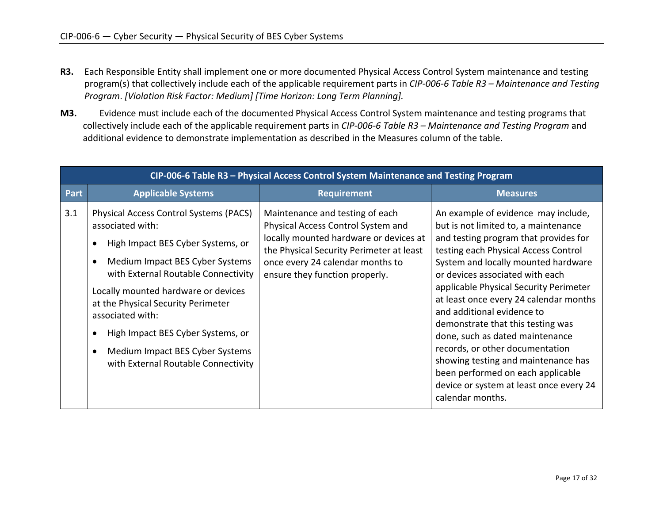- **R3.** Each Responsible Entity shall implement one or more documented Physical Access Control System maintenance and testing program(s) that collectively include each of the applicable requirement parts in *CIP-006-6 Table R3 – Maintenance and Testing Program*. *[Violation Risk Factor: Medium] [Time Horizon: Long Term Planning].*
- **M3.** Evidence must include each of the documented Physical Access Control System maintenance and testing programs that collectively include each of the applicable requirement parts in *CIP-006-6 Table R3 – Maintenance and Testing Program* and additional evidence to demonstrate implementation as described in the Measures column of the table.

|      | CIP-006-6 Table R3 - Physical Access Control System Maintenance and Testing Program                                                                                                                                                                                                                                                                                                       |                                                                                                                                                                                                                                   |                                                                                                                                                                                                                                                                                                                                                                                                                                                                                                                                                                                                                |  |
|------|-------------------------------------------------------------------------------------------------------------------------------------------------------------------------------------------------------------------------------------------------------------------------------------------------------------------------------------------------------------------------------------------|-----------------------------------------------------------------------------------------------------------------------------------------------------------------------------------------------------------------------------------|----------------------------------------------------------------------------------------------------------------------------------------------------------------------------------------------------------------------------------------------------------------------------------------------------------------------------------------------------------------------------------------------------------------------------------------------------------------------------------------------------------------------------------------------------------------------------------------------------------------|--|
| Part | <b>Applicable Systems</b>                                                                                                                                                                                                                                                                                                                                                                 | <b>Requirement</b>                                                                                                                                                                                                                | <b>Measures</b>                                                                                                                                                                                                                                                                                                                                                                                                                                                                                                                                                                                                |  |
| 3.1  | Physical Access Control Systems (PACS)<br>associated with:<br>High Impact BES Cyber Systems, or<br>Medium Impact BES Cyber Systems<br>with External Routable Connectivity<br>Locally mounted hardware or devices<br>at the Physical Security Perimeter<br>associated with:<br>High Impact BES Cyber Systems, or<br>Medium Impact BES Cyber Systems<br>with External Routable Connectivity | Maintenance and testing of each<br>Physical Access Control System and<br>locally mounted hardware or devices at<br>the Physical Security Perimeter at least<br>once every 24 calendar months to<br>ensure they function properly. | An example of evidence may include,<br>but is not limited to, a maintenance<br>and testing program that provides for<br>testing each Physical Access Control<br>System and locally mounted hardware<br>or devices associated with each<br>applicable Physical Security Perimeter<br>at least once every 24 calendar months<br>and additional evidence to<br>demonstrate that this testing was<br>done, such as dated maintenance<br>records, or other documentation<br>showing testing and maintenance has<br>been performed on each applicable<br>device or system at least once every 24<br>calendar months. |  |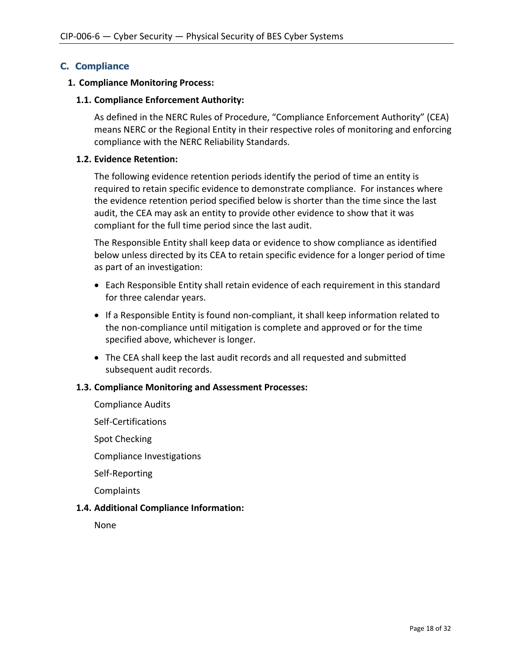# **C. Compliance**

### **1. Compliance Monitoring Process:**

## **1.1. Compliance Enforcement Authority:**

As defined in the NERC Rules of Procedure, "Compliance Enforcement Authority" (CEA) means NERC or the Regional Entity in their respective roles of monitoring and enforcing compliance with the NERC Reliability Standards.

### **1.2. Evidence Retention:**

The following evidence retention periods identify the period of time an entity is required to retain specific evidence to demonstrate compliance. For instances where the evidence retention period specified below is shorter than the time since the last audit, the CEA may ask an entity to provide other evidence to show that it was compliant for the full time period since the last audit.

The Responsible Entity shall keep data or evidence to show compliance as identified below unless directed by its CEA to retain specific evidence for a longer period of time as part of an investigation:

- Each Responsible Entity shall retain evidence of each requirement in this standard for three calendar years.
- If a Responsible Entity is found non-compliant, it shall keep information related to the non-compliance until mitigation is complete and approved or for the time specified above, whichever is longer.
- The CEA shall keep the last audit records and all requested and submitted subsequent audit records.

### **1.3. Compliance Monitoring and Assessment Processes:**

Compliance Audits Self-Certifications Spot Checking Compliance Investigations Self-Reporting **Complaints 1.4. Additional Compliance Information:**

None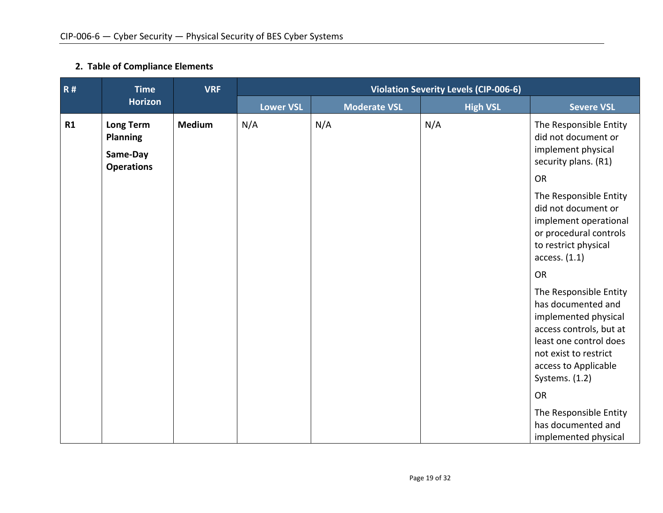# **2. Table of Compliance Elements**

| R# | <b>Time</b><br><b>VRF</b>                                            |               | <b>Violation Severity Levels (CIP-006-6)</b> |                     |                 |                                                                                                                                                                                              |
|----|----------------------------------------------------------------------|---------------|----------------------------------------------|---------------------|-----------------|----------------------------------------------------------------------------------------------------------------------------------------------------------------------------------------------|
|    | <b>Horizon</b>                                                       |               | <b>Lower VSL</b>                             | <b>Moderate VSL</b> | <b>High VSL</b> | <b>Severe VSL</b>                                                                                                                                                                            |
| R1 | <b>Long Term</b><br><b>Planning</b><br>Same-Day<br><b>Operations</b> | <b>Medium</b> | N/A                                          | N/A                 | N/A             | The Responsible Entity<br>did not document or<br>implement physical<br>security plans. (R1)<br><b>OR</b>                                                                                     |
|    |                                                                      |               |                                              |                     |                 | The Responsible Entity<br>did not document or<br>implement operational<br>or procedural controls<br>to restrict physical<br>access. (1.1)                                                    |
|    |                                                                      |               |                                              |                     |                 | <b>OR</b>                                                                                                                                                                                    |
|    |                                                                      |               |                                              |                     |                 | The Responsible Entity<br>has documented and<br>implemented physical<br>access controls, but at<br>least one control does<br>not exist to restrict<br>access to Applicable<br>Systems. (1.2) |
|    |                                                                      |               |                                              |                     |                 | <b>OR</b>                                                                                                                                                                                    |
|    |                                                                      |               |                                              |                     |                 | The Responsible Entity<br>has documented and<br>implemented physical                                                                                                                         |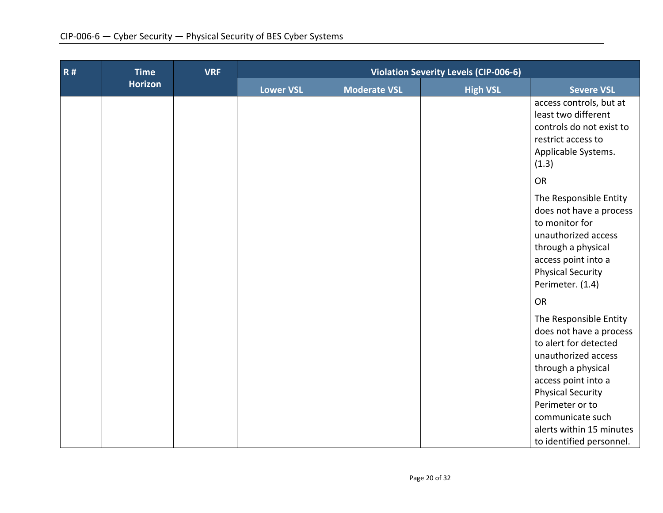| <b>R#</b> | <b>Time</b>    | <b>VRF</b> | <b>Violation Severity Levels (CIP-006-6)</b> |                     |                                      |                                                                                                                                                                                                                                                                           |
|-----------|----------------|------------|----------------------------------------------|---------------------|--------------------------------------|---------------------------------------------------------------------------------------------------------------------------------------------------------------------------------------------------------------------------------------------------------------------------|
|           | <b>Horizon</b> |            | Lower VSL                                    | <b>Moderate VSL</b> | <b>High VSL</b><br><b>Severe VSL</b> |                                                                                                                                                                                                                                                                           |
|           |                |            |                                              |                     |                                      | access controls, but at<br>least two different<br>controls do not exist to<br>restrict access to<br>Applicable Systems.<br>(1.3)                                                                                                                                          |
|           |                |            |                                              |                     |                                      | <b>OR</b>                                                                                                                                                                                                                                                                 |
|           |                |            |                                              |                     |                                      | The Responsible Entity<br>does not have a process<br>to monitor for<br>unauthorized access<br>through a physical<br>access point into a<br><b>Physical Security</b><br>Perimeter. (1.4)                                                                                   |
|           |                |            |                                              |                     |                                      | <b>OR</b>                                                                                                                                                                                                                                                                 |
|           |                |            |                                              |                     |                                      | The Responsible Entity<br>does not have a process<br>to alert for detected<br>unauthorized access<br>through a physical<br>access point into a<br><b>Physical Security</b><br>Perimeter or to<br>communicate such<br>alerts within 15 minutes<br>to identified personnel. |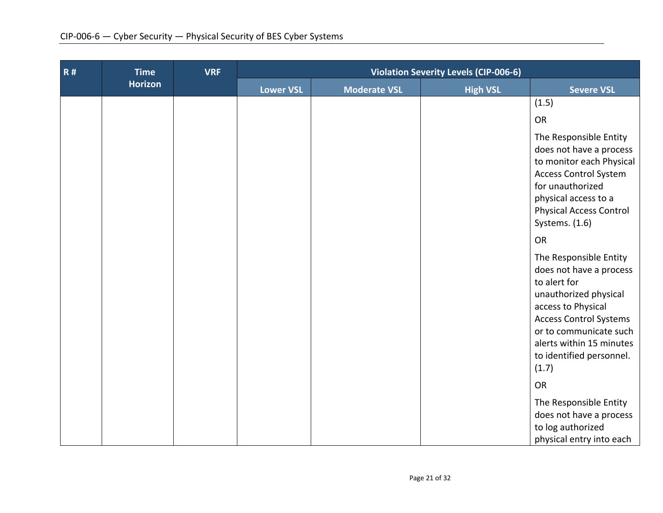| <b>R#</b> | <b>Time</b>    | <b>VRF</b> | <b>Violation Severity Levels (CIP-006-6)</b> |                     |                 |                                                                                                                                                                                                                                              |
|-----------|----------------|------------|----------------------------------------------|---------------------|-----------------|----------------------------------------------------------------------------------------------------------------------------------------------------------------------------------------------------------------------------------------------|
|           | <b>Horizon</b> |            | <b>Lower VSL</b>                             | <b>Moderate VSL</b> | <b>High VSL</b> | <b>Severe VSL</b>                                                                                                                                                                                                                            |
|           |                |            |                                              |                     |                 | (1.5)                                                                                                                                                                                                                                        |
|           |                |            |                                              |                     |                 | OR                                                                                                                                                                                                                                           |
|           |                |            |                                              |                     |                 | The Responsible Entity<br>does not have a process<br>to monitor each Physical<br><b>Access Control System</b><br>for unauthorized<br>physical access to a<br><b>Physical Access Control</b><br>Systems. (1.6)                                |
|           |                |            |                                              |                     |                 | <b>OR</b>                                                                                                                                                                                                                                    |
|           |                |            |                                              |                     |                 | The Responsible Entity<br>does not have a process<br>to alert for<br>unauthorized physical<br>access to Physical<br><b>Access Control Systems</b><br>or to communicate such<br>alerts within 15 minutes<br>to identified personnel.<br>(1.7) |
|           |                |            |                                              |                     |                 | OR                                                                                                                                                                                                                                           |
|           |                |            |                                              |                     |                 | The Responsible Entity<br>does not have a process<br>to log authorized<br>physical entry into each                                                                                                                                           |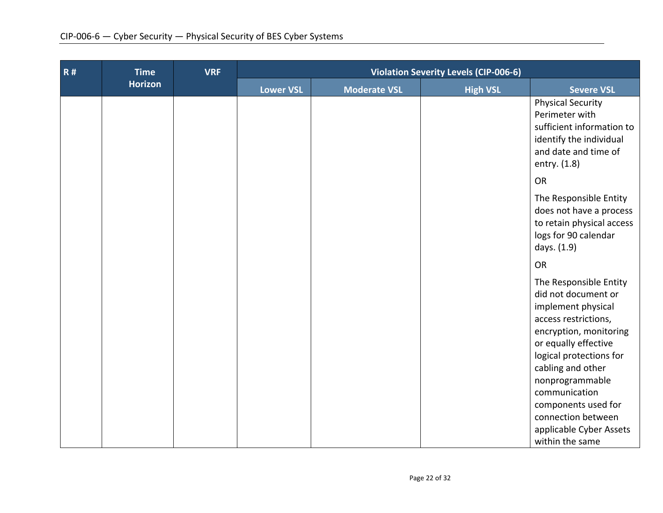| <b>R#</b> | <b>Time</b>    | <b>VRF</b> | <b>Violation Severity Levels (CIP-006-6)</b> |                     |                 |                                                                                                                                                                                                                                                                                |
|-----------|----------------|------------|----------------------------------------------|---------------------|-----------------|--------------------------------------------------------------------------------------------------------------------------------------------------------------------------------------------------------------------------------------------------------------------------------|
|           | <b>Horizon</b> |            | <b>Lower VSL</b>                             | <b>Moderate VSL</b> | <b>High VSL</b> | <b>Severe VSL</b>                                                                                                                                                                                                                                                              |
|           |                |            |                                              |                     |                 | <b>Physical Security</b><br>Perimeter with<br>sufficient information to<br>identify the individual<br>and date and time of<br>entry. (1.8)                                                                                                                                     |
|           |                |            |                                              |                     |                 | <b>OR</b>                                                                                                                                                                                                                                                                      |
|           |                |            |                                              |                     |                 | The Responsible Entity<br>does not have a process<br>to retain physical access<br>logs for 90 calendar<br>days. (1.9)                                                                                                                                                          |
|           |                |            |                                              |                     |                 | OR                                                                                                                                                                                                                                                                             |
|           |                |            |                                              |                     |                 | The Responsible Entity<br>did not document or<br>implement physical<br>access restrictions,<br>encryption, monitoring<br>or equally effective<br>logical protections for<br>cabling and other<br>nonprogrammable<br>communication<br>components used for<br>connection between |
|           |                |            |                                              |                     |                 | applicable Cyber Assets<br>within the same                                                                                                                                                                                                                                     |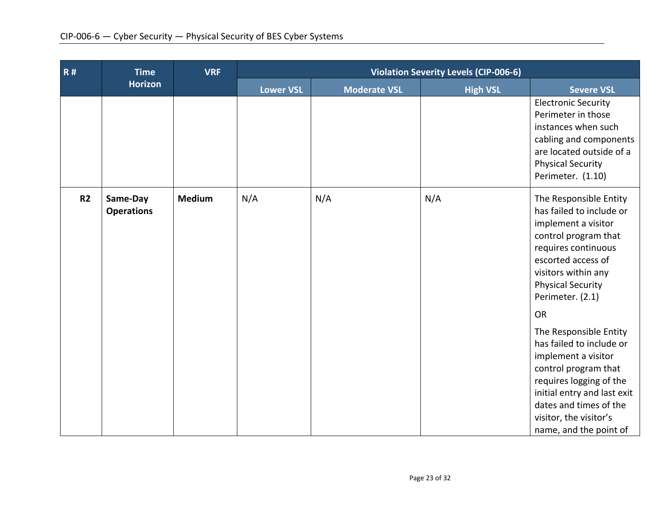| <b>R#</b>      | <b>Time</b>                   | <b>VRF</b>    | <b>Violation Severity Levels (CIP-006-6)</b> |                     |                 |                                                                                                                                                                                                                                           |
|----------------|-------------------------------|---------------|----------------------------------------------|---------------------|-----------------|-------------------------------------------------------------------------------------------------------------------------------------------------------------------------------------------------------------------------------------------|
|                | <b>Horizon</b>                |               | Lower VSL                                    | <b>Moderate VSL</b> | <b>High VSL</b> | <b>Severe VSL</b>                                                                                                                                                                                                                         |
|                |                               |               |                                              |                     |                 | <b>Electronic Security</b><br>Perimeter in those<br>instances when such<br>cabling and components<br>are located outside of a<br><b>Physical Security</b><br>Perimeter. (1.10)                                                            |
| R <sub>2</sub> | Same-Day<br><b>Operations</b> | <b>Medium</b> | N/A                                          | N/A                 | N/A             | The Responsible Entity<br>has failed to include or<br>implement a visitor<br>control program that<br>requires continuous<br>escorted access of<br>visitors within any<br><b>Physical Security</b><br>Perimeter. (2.1)<br><b>OR</b>        |
|                |                               |               |                                              |                     |                 | The Responsible Entity<br>has failed to include or<br>implement a visitor<br>control program that<br>requires logging of the<br>initial entry and last exit<br>dates and times of the<br>visitor, the visitor's<br>name, and the point of |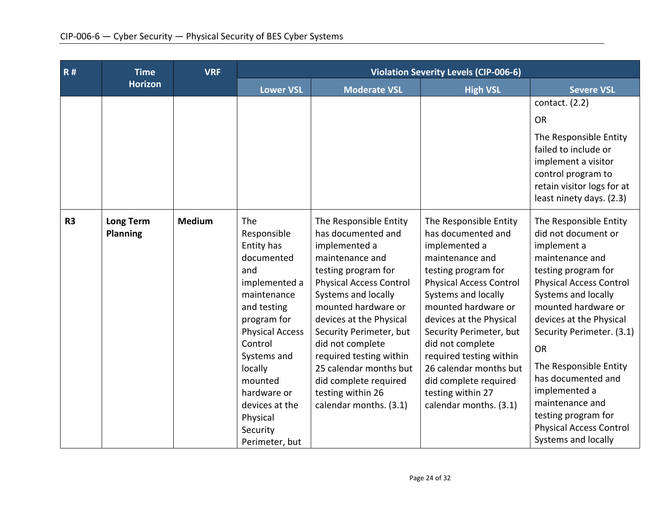| R#             | <b>Time</b>                         | <b>VRF</b>    | <b>Violation Severity Levels (CIP-006-6)</b>                                                                                                                                                                                                                             |                                                                                                                                                                                                                                                                                                                                                                                                |                                                                                                                                                                                                                                                                                                                                                                                                |                                                                                                                                                                                                                                                                                                                                                                                                                                 |
|----------------|-------------------------------------|---------------|--------------------------------------------------------------------------------------------------------------------------------------------------------------------------------------------------------------------------------------------------------------------------|------------------------------------------------------------------------------------------------------------------------------------------------------------------------------------------------------------------------------------------------------------------------------------------------------------------------------------------------------------------------------------------------|------------------------------------------------------------------------------------------------------------------------------------------------------------------------------------------------------------------------------------------------------------------------------------------------------------------------------------------------------------------------------------------------|---------------------------------------------------------------------------------------------------------------------------------------------------------------------------------------------------------------------------------------------------------------------------------------------------------------------------------------------------------------------------------------------------------------------------------|
|                | <b>Horizon</b>                      |               | <b>Lower VSL</b>                                                                                                                                                                                                                                                         | <b>Moderate VSL</b>                                                                                                                                                                                                                                                                                                                                                                            | <b>High VSL</b>                                                                                                                                                                                                                                                                                                                                                                                | <b>Severe VSL</b>                                                                                                                                                                                                                                                                                                                                                                                                               |
|                |                                     |               |                                                                                                                                                                                                                                                                          |                                                                                                                                                                                                                                                                                                                                                                                                |                                                                                                                                                                                                                                                                                                                                                                                                | contact. $(2.2)$<br><b>OR</b>                                                                                                                                                                                                                                                                                                                                                                                                   |
|                |                                     |               |                                                                                                                                                                                                                                                                          |                                                                                                                                                                                                                                                                                                                                                                                                |                                                                                                                                                                                                                                                                                                                                                                                                | The Responsible Entity<br>failed to include or<br>implement a visitor<br>control program to<br>retain visitor logs for at<br>least ninety days. (2.3)                                                                                                                                                                                                                                                                           |
| R <sub>3</sub> | <b>Long Term</b><br><b>Planning</b> | <b>Medium</b> | The<br>Responsible<br>Entity has<br>documented<br>and<br>implemented a<br>maintenance<br>and testing<br>program for<br><b>Physical Access</b><br>Control<br>Systems and<br>locally<br>mounted<br>hardware or<br>devices at the<br>Physical<br>Security<br>Perimeter, but | The Responsible Entity<br>has documented and<br>implemented a<br>maintenance and<br>testing program for<br><b>Physical Access Control</b><br>Systems and locally<br>mounted hardware or<br>devices at the Physical<br>Security Perimeter, but<br>did not complete<br>required testing within<br>25 calendar months but<br>did complete required<br>testing within 26<br>calendar months. (3.1) | The Responsible Entity<br>has documented and<br>implemented a<br>maintenance and<br>testing program for<br><b>Physical Access Control</b><br>Systems and locally<br>mounted hardware or<br>devices at the Physical<br>Security Perimeter, but<br>did not complete<br>required testing within<br>26 calendar months but<br>did complete required<br>testing within 27<br>calendar months. (3.1) | The Responsible Entity<br>did not document or<br>implement a<br>maintenance and<br>testing program for<br><b>Physical Access Control</b><br>Systems and locally<br>mounted hardware or<br>devices at the Physical<br>Security Perimeter. (3.1)<br><b>OR</b><br>The Responsible Entity<br>has documented and<br>implemented a<br>maintenance and<br>testing program for<br><b>Physical Access Control</b><br>Systems and locally |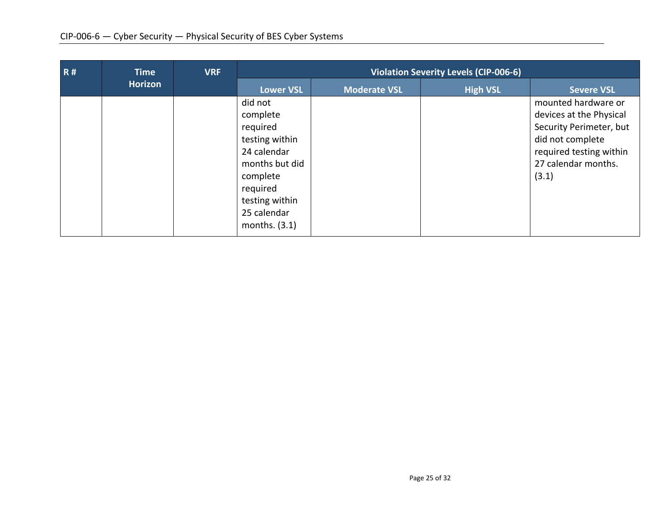| <b>R#</b> | <b>Time</b>    | <b>VRF</b> | <b>Violation Severity Levels (CIP-006-6)</b>                                                                                                                   |                     |                 |                                                                                                                                                          |
|-----------|----------------|------------|----------------------------------------------------------------------------------------------------------------------------------------------------------------|---------------------|-----------------|----------------------------------------------------------------------------------------------------------------------------------------------------------|
|           | <b>Horizon</b> |            | <b>Lower VSL</b>                                                                                                                                               | <b>Moderate VSL</b> | <b>High VSL</b> | <b>Severe VSL</b>                                                                                                                                        |
|           |                |            | did not<br>complete<br>required<br>testing within<br>24 calendar<br>months but did<br>complete<br>required<br>testing within<br>25 calendar<br>months. $(3.1)$ |                     |                 | mounted hardware or<br>devices at the Physical<br>Security Perimeter, but<br>did not complete<br>required testing within<br>27 calendar months.<br>(3.1) |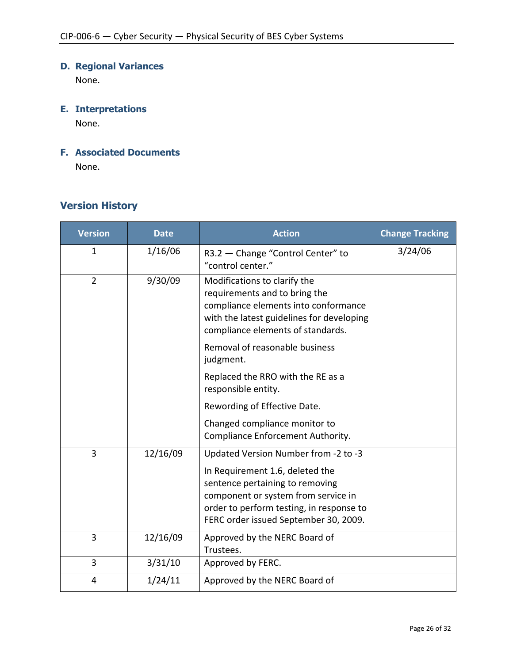# **D. Regional Variances**

None.

# **E. Interpretations**

None.

# **F. Associated Documents**

None.

# **Version History**

| <b>Version</b> | <b>Date</b> | <b>Action</b>                                                                                                                                                                                                                          | <b>Change Tracking</b> |
|----------------|-------------|----------------------------------------------------------------------------------------------------------------------------------------------------------------------------------------------------------------------------------------|------------------------|
| 1              | 1/16/06     | R3.2 - Change "Control Center" to<br>"control center."                                                                                                                                                                                 | 3/24/06                |
| $\overline{2}$ | 9/30/09     | Modifications to clarify the<br>requirements and to bring the<br>compliance elements into conformance<br>with the latest guidelines for developing<br>compliance elements of standards.                                                |                        |
|                |             | Removal of reasonable business<br>judgment.                                                                                                                                                                                            |                        |
|                |             | Replaced the RRO with the RE as a<br>responsible entity.                                                                                                                                                                               |                        |
|                |             | Rewording of Effective Date.                                                                                                                                                                                                           |                        |
|                |             | Changed compliance monitor to<br>Compliance Enforcement Authority.                                                                                                                                                                     |                        |
| 3              | 12/16/09    | Updated Version Number from -2 to -3<br>In Requirement 1.6, deleted the<br>sentence pertaining to removing<br>component or system from service in<br>order to perform testing, in response to<br>FERC order issued September 30, 2009. |                        |
| $\overline{3}$ | 12/16/09    | Approved by the NERC Board of<br>Trustees.                                                                                                                                                                                             |                        |
| 3              | 3/31/10     | Approved by FERC.                                                                                                                                                                                                                      |                        |
| 4              | 1/24/11     | Approved by the NERC Board of                                                                                                                                                                                                          |                        |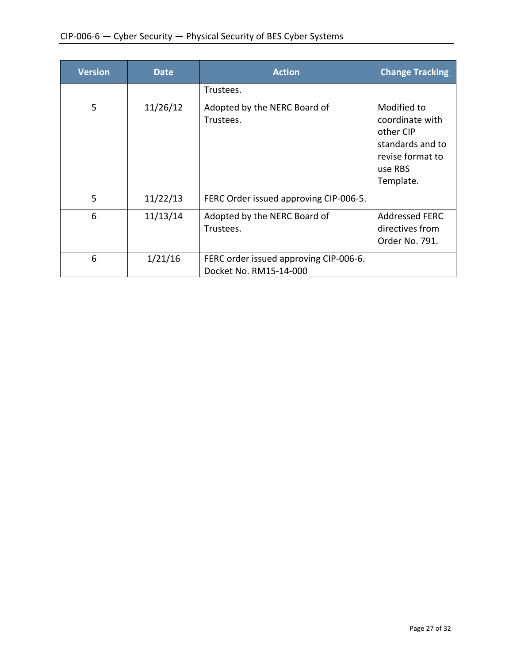| <b>Version</b> | <b>Date</b> | <b>Action</b>                                                    | <b>Change Tracking</b>                                                                                      |
|----------------|-------------|------------------------------------------------------------------|-------------------------------------------------------------------------------------------------------------|
|                |             | Trustees.                                                        |                                                                                                             |
| 5              | 11/26/12    | Adopted by the NERC Board of<br>Trustees.                        | Modified to<br>coordinate with<br>other CIP<br>standards and to<br>revise format to<br>use RBS<br>Template. |
| 5              | 11/22/13    | FERC Order issued approving CIP-006-5.                           |                                                                                                             |
| 6              | 11/13/14    | Adopted by the NERC Board of<br>Trustees.                        | <b>Addressed FERC</b><br>directives from<br>Order No. 791.                                                  |
| 6              | 1/21/16     | FERC order issued approving CIP-006-6.<br>Docket No. RM15-14-000 |                                                                                                             |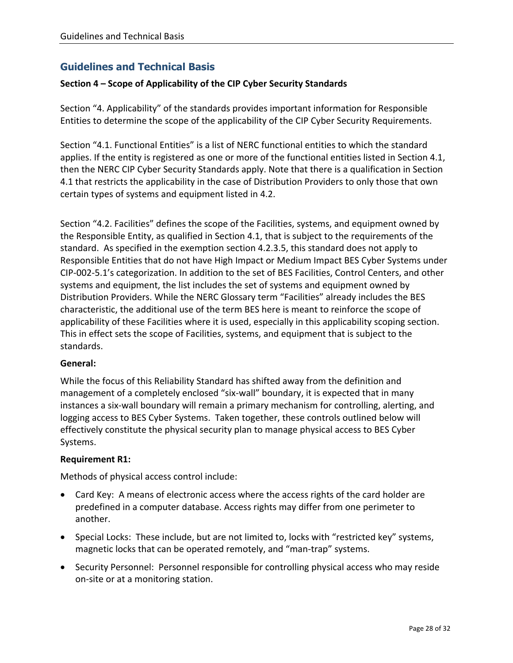# **Guidelines and Technical Basis**

### **Section 4 – Scope of Applicability of the CIP Cyber Security Standards**

Section "4. Applicability" of the standards provides important information for Responsible Entities to determine the scope of the applicability of the CIP Cyber Security Requirements.

Section "4.1. Functional Entities" is a list of NERC functional entities to which the standard applies. If the entity is registered as one or more of the functional entities listed in Section 4.1, then the NERC CIP Cyber Security Standards apply. Note that there is a qualification in Section 4.1 that restricts the applicability in the case of Distribution Providers to only those that own certain types of systems and equipment listed in 4.2.

Section "4.2. Facilities" defines the scope of the Facilities, systems, and equipment owned by the Responsible Entity, as qualified in Section 4.1, that is subject to the requirements of the standard. As specified in the exemption section 4.2.3.5, this standard does not apply to Responsible Entities that do not have High Impact or Medium Impact BES Cyber Systems under CIP-002-5.1's categorization. In addition to the set of BES Facilities, Control Centers, and other systems and equipment, the list includes the set of systems and equipment owned by Distribution Providers. While the NERC Glossary term "Facilities" already includes the BES characteristic, the additional use of the term BES here is meant to reinforce the scope of applicability of these Facilities where it is used, especially in this applicability scoping section. This in effect sets the scope of Facilities, systems, and equipment that is subject to the standards.

### **General:**

While the focus of this Reliability Standard has shifted away from the definition and management of a completely enclosed "six-wall" boundary, it is expected that in many instances a six-wall boundary will remain a primary mechanism for controlling, alerting, and logging access to BES Cyber Systems. Taken together, these controls outlined below will effectively constitute the physical security plan to manage physical access to BES Cyber Systems.

### **Requirement R1:**

Methods of physical access control include:

- Card Key: A means of electronic access where the access rights of the card holder are predefined in a computer database. Access rights may differ from one perimeter to another.
- Special Locks: These include, but are not limited to, locks with "restricted key" systems, magnetic locks that can be operated remotely, and "man-trap" systems.
- Security Personnel: Personnel responsible for controlling physical access who may reside on-site or at a monitoring station.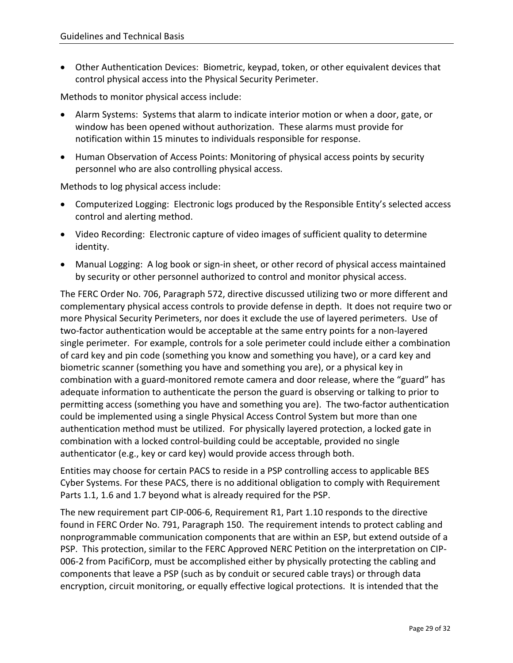Other Authentication Devices: Biometric, keypad, token, or other equivalent devices that control physical access into the Physical Security Perimeter.

Methods to monitor physical access include:

- Alarm Systems: Systems that alarm to indicate interior motion or when a door, gate, or window has been opened without authorization. These alarms must provide for notification within 15 minutes to individuals responsible for response.
- Human Observation of Access Points: Monitoring of physical access points by security personnel who are also controlling physical access.

Methods to log physical access include:

- Computerized Logging: Electronic logs produced by the Responsible Entity's selected access control and alerting method.
- Video Recording: Electronic capture of video images of sufficient quality to determine identity.
- Manual Logging: A log book or sign-in sheet, or other record of physical access maintained by security or other personnel authorized to control and monitor physical access.

The FERC Order No. 706, Paragraph 572, directive discussed utilizing two or more different and complementary physical access controls to provide defense in depth. It does not require two or more Physical Security Perimeters, nor does it exclude the use of layered perimeters. Use of two-factor authentication would be acceptable at the same entry points for a non-layered single perimeter. For example, controls for a sole perimeter could include either a combination of card key and pin code (something you know and something you have), or a card key and biometric scanner (something you have and something you are), or a physical key in combination with a guard-monitored remote camera and door release, where the "guard" has adequate information to authenticate the person the guard is observing or talking to prior to permitting access (something you have and something you are). The two-factor authentication could be implemented using a single Physical Access Control System but more than one authentication method must be utilized. For physically layered protection, a locked gate in combination with a locked control-building could be acceptable, provided no single authenticator (e.g., key or card key) would provide access through both.

Entities may choose for certain PACS to reside in a PSP controlling access to applicable BES Cyber Systems. For these PACS, there is no additional obligation to comply with Requirement Parts 1.1, 1.6 and 1.7 beyond what is already required for the PSP.

The new requirement part CIP-006-6, Requirement R1, Part 1.10 responds to the directive found in FERC Order No. 791, Paragraph 150. The requirement intends to protect cabling and nonprogrammable communication components that are within an ESP, but extend outside of a PSP. This protection, similar to the FERC Approved NERC Petition on the interpretation on CIP-006-2 from PacifiCorp, must be accomplished either by physically protecting the cabling and components that leave a PSP (such as by conduit or secured cable trays) or through data encryption, circuit monitoring, or equally effective logical protections. It is intended that the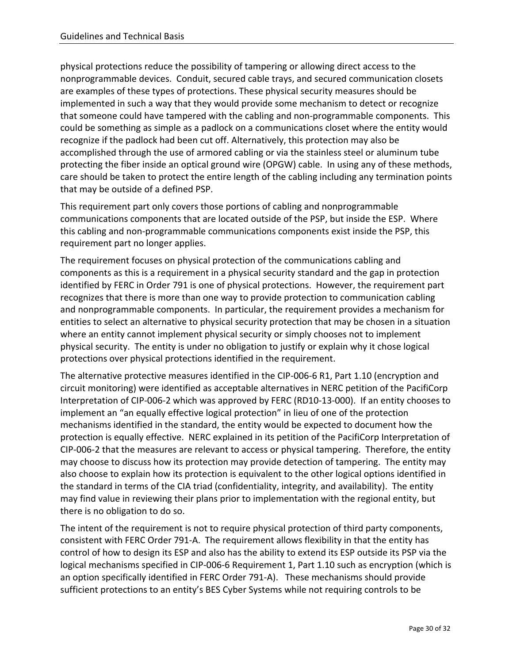physical protections reduce the possibility of tampering or allowing direct access to the nonprogrammable devices. Conduit, secured cable trays, and secured communication closets are examples of these types of protections. These physical security measures should be implemented in such a way that they would provide some mechanism to detect or recognize that someone could have tampered with the cabling and non-programmable components. This could be something as simple as a padlock on a communications closet where the entity would recognize if the padlock had been cut off. Alternatively, this protection may also be accomplished through the use of armored cabling or via the stainless steel or aluminum tube protecting the fiber inside an optical ground wire (OPGW) cable. In using any of these methods, care should be taken to protect the entire length of the cabling including any termination points that may be outside of a defined PSP.

This requirement part only covers those portions of cabling and nonprogrammable communications components that are located outside of the PSP, but inside the ESP. Where this cabling and non-programmable communications components exist inside the PSP, this requirement part no longer applies.

The requirement focuses on physical protection of the communications cabling and components as this is a requirement in a physical security standard and the gap in protection identified by FERC in Order 791 is one of physical protections. However, the requirement part recognizes that there is more than one way to provide protection to communication cabling and nonprogrammable components. In particular, the requirement provides a mechanism for entities to select an alternative to physical security protection that may be chosen in a situation where an entity cannot implement physical security or simply chooses not to implement physical security. The entity is under no obligation to justify or explain why it chose logical protections over physical protections identified in the requirement.

The alternative protective measures identified in the CIP-006-6 R1, Part 1.10 (encryption and circuit monitoring) were identified as acceptable alternatives in NERC petition of the PacifiCorp Interpretation of CIP-006-2 which was approved by FERC (RD10-13-000). If an entity chooses to implement an "an equally effective logical protection" in lieu of one of the protection mechanisms identified in the standard, the entity would be expected to document how the protection is equally effective. NERC explained in its petition of the PacifiCorp Interpretation of CIP-006-2 that the measures are relevant to access or physical tampering. Therefore, the entity may choose to discuss how its protection may provide detection of tampering. The entity may also choose to explain how its protection is equivalent to the other logical options identified in the standard in terms of the CIA triad (confidentiality, integrity, and availability). The entity may find value in reviewing their plans prior to implementation with the regional entity, but there is no obligation to do so.

The intent of the requirement is not to require physical protection of third party components, consistent with FERC Order 791-A. The requirement allows flexibility in that the entity has control of how to design its ESP and also has the ability to extend its ESP outside its PSP via the logical mechanisms specified in CIP-006-6 Requirement 1, Part 1.10 such as encryption (which is an option specifically identified in FERC Order 791-A). These mechanisms should provide sufficient protections to an entity's BES Cyber Systems while not requiring controls to be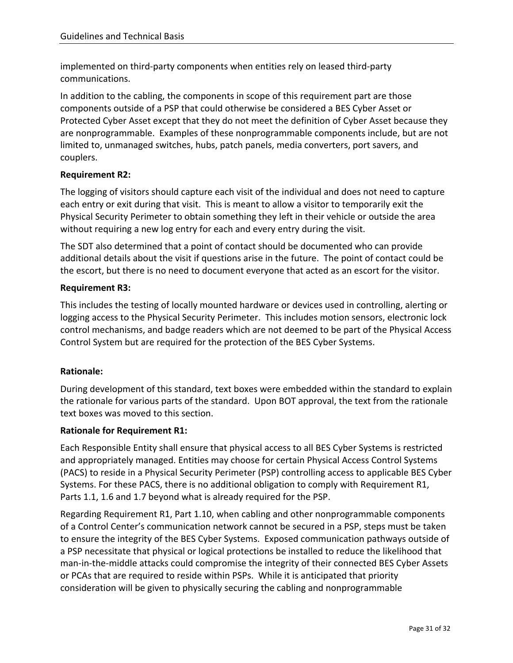implemented on third-party components when entities rely on leased third-party communications.

In addition to the cabling, the components in scope of this requirement part are those components outside of a PSP that could otherwise be considered a BES Cyber Asset or Protected Cyber Asset except that they do not meet the definition of Cyber Asset because they are nonprogrammable. Examples of these nonprogrammable components include, but are not limited to, unmanaged switches, hubs, patch panels, media converters, port savers, and couplers.

# **Requirement R2:**

The logging of visitors should capture each visit of the individual and does not need to capture each entry or exit during that visit. This is meant to allow a visitor to temporarily exit the Physical Security Perimeter to obtain something they left in their vehicle or outside the area without requiring a new log entry for each and every entry during the visit.

The SDT also determined that a point of contact should be documented who can provide additional details about the visit if questions arise in the future. The point of contact could be the escort, but there is no need to document everyone that acted as an escort for the visitor.

# **Requirement R3:**

This includes the testing of locally mounted hardware or devices used in controlling, alerting or logging access to the Physical Security Perimeter. This includes motion sensors, electronic lock control mechanisms, and badge readers which are not deemed to be part of the Physical Access Control System but are required for the protection of the BES Cyber Systems.

### **Rationale:**

During development of this standard, text boxes were embedded within the standard to explain the rationale for various parts of the standard. Upon BOT approval, the text from the rationale text boxes was moved to this section.

### **Rationale for Requirement R1:**

Each Responsible Entity shall ensure that physical access to all BES Cyber Systems is restricted and appropriately managed. Entities may choose for certain Physical Access Control Systems (PACS) to reside in a Physical Security Perimeter (PSP) controlling access to applicable BES Cyber Systems. For these PACS, there is no additional obligation to comply with Requirement R1, Parts 1.1, 1.6 and 1.7 beyond what is already required for the PSP.

Regarding Requirement R1, Part 1.10, when cabling and other nonprogrammable components of a Control Center's communication network cannot be secured in a PSP, steps must be taken to ensure the integrity of the BES Cyber Systems. Exposed communication pathways outside of a PSP necessitate that physical or logical protections be installed to reduce the likelihood that man-in-the-middle attacks could compromise the integrity of their connected BES Cyber Assets or PCAs that are required to reside within PSPs. While it is anticipated that priority consideration will be given to physically securing the cabling and nonprogrammable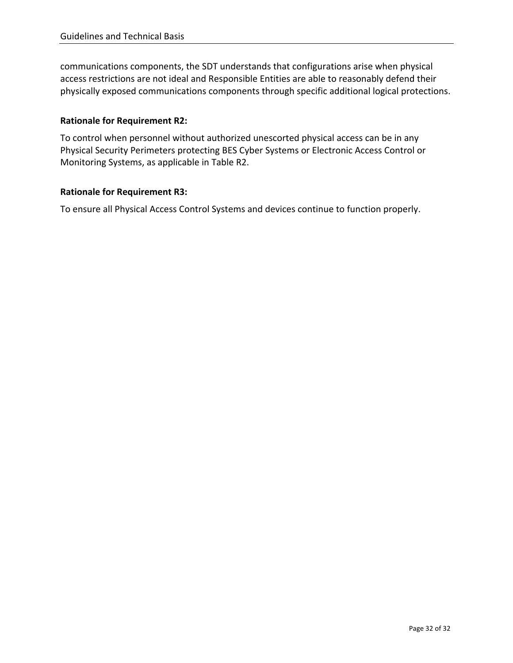communications components, the SDT understands that configurations arise when physical access restrictions are not ideal and Responsible Entities are able to reasonably defend their physically exposed communications components through specific additional logical protections.

# **Rationale for Requirement R2:**

To control when personnel without authorized unescorted physical access can be in any Physical Security Perimeters protecting BES Cyber Systems or Electronic Access Control or Monitoring Systems, as applicable in Table R2.

## **Rationale for Requirement R3:**

To ensure all Physical Access Control Systems and devices continue to function properly.